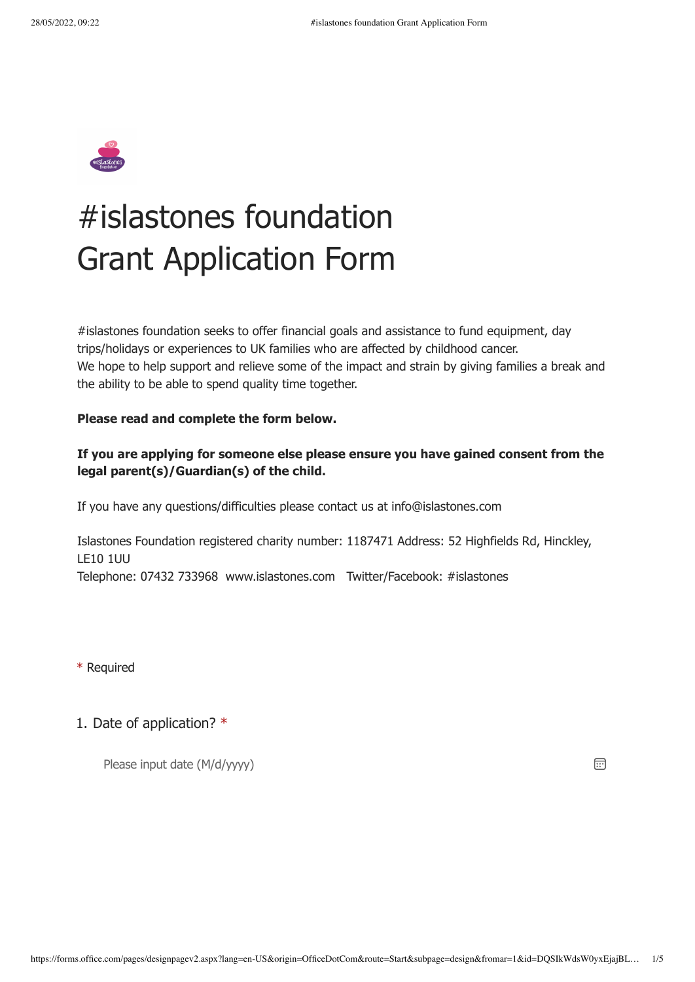

## #islastones foundation Grant Application Form

#islastones foundation seeks to offer financial goals and assistance to fund equipment, day trips/holidays or experiences to UK families who are affected by childhood cancer. We hope to help support and relieve some of the impact and strain by giving families a break and the ability to be able to spend quality time together.

## **Please read and complete the form below.**

## **If you are applying for someone else please ensure you have gained consent from the legal parent(s)/Guardian(s) of the child.**

If you have any questions/difficulties please contact us at info@islastones.com

Islastones Foundation registered charity number: 1187471 Address: 52 Highfields Rd, Hinckley, LE10 1UU Telephone: 07432 733968 www.islastones.com Twitter/Facebook: #islastones

\* Required

## 1. Date of application? \*

Please input date (M/d/yyyy)

 $\boxed{1}$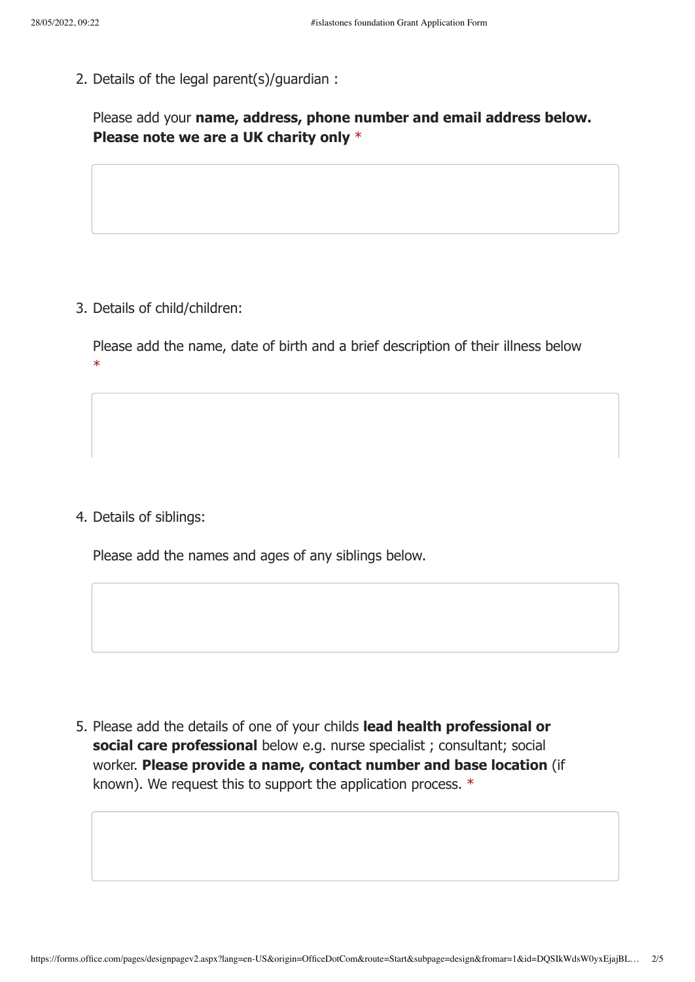2. Details of the legal parent(s)/guardian :

Please add your **name, address, phone number and email address below. Please note we are a UK charity only** \*

3. Details of child/children:

Please add the name, date of birth and a brief description of their illness below \*

4. Details of siblings:

Please add the names and ages of any siblings below.

5. Please add the details of one of your childs **lead health professional or social care professional** below e.g. nurse specialist ; consultant; social worker. **Please provide a name, contact number and base location** (if known). We request this to support the application process. \*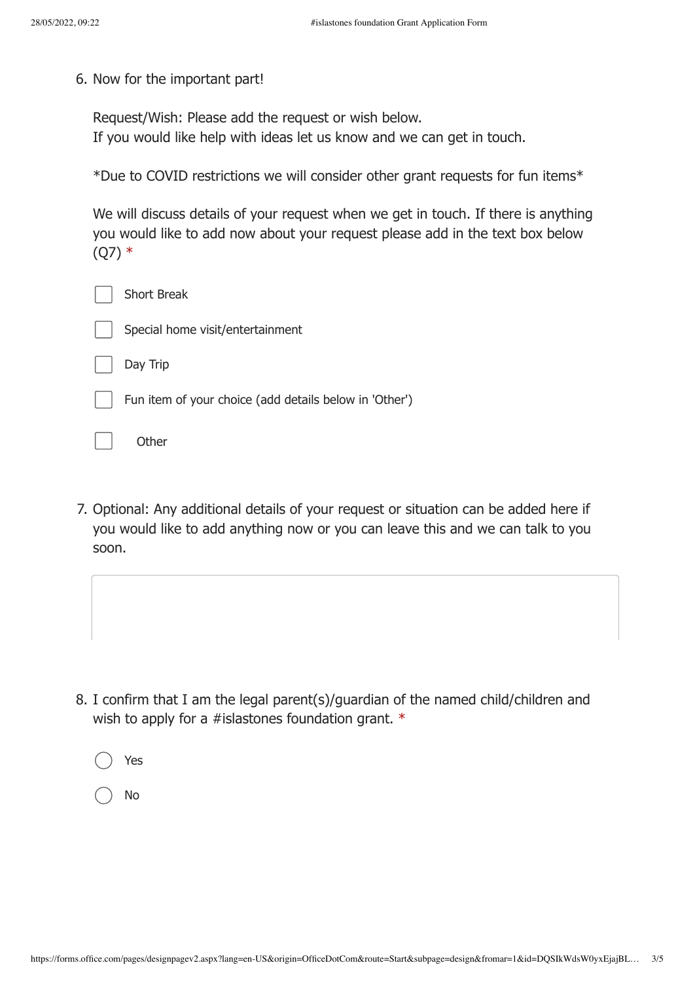6. Now for the important part!

Request/Wish: Please add the request or wish below. If you would like help with ideas let us know and we can get in touch.

\*Due to COVID restrictions we will consider other grant requests for fun items\*

We will discuss details of your request when we get in touch. If there is anything you would like to add now about your request please add in the text box below  $(Q7)$  \*

| <b>Short Break</b>                                     |
|--------------------------------------------------------|
| Special home visit/entertainment                       |
| Day Trip                                               |
| Fun item of your choice (add details below in 'Other') |
| <b>Other</b>                                           |

7. Optional: Any additional details of your request or situation can be added here if you would like to add anything now or you can leave this and we can talk to you soon.

8. I confirm that I am the legal parent(s)/guardian of the named child/children and wish to apply for a #islastones foundation grant. \*

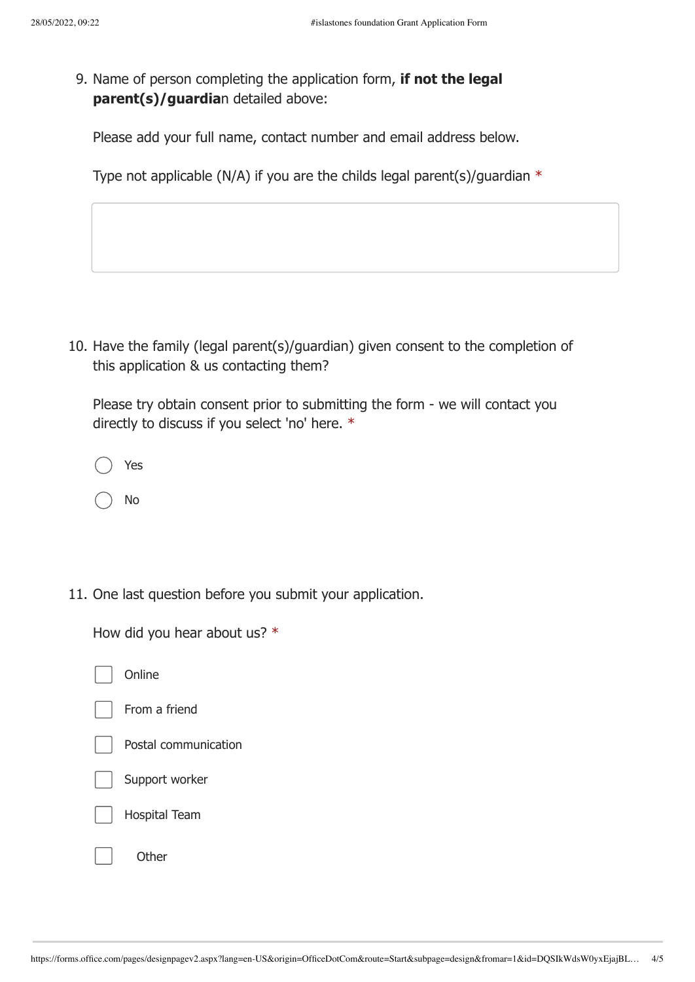9. Name of person completing the application form, **if not the legal parent(s)/guardia**n detailed above:

Please add your full name, contact number and email address below.

Type not applicable (N/A) if you are the childs legal parent(s)/quardian  $*$ 

10. Have the family (legal parent(s)/guardian) given consent to the completion of this application & us contacting them?

Please try obtain consent prior to submitting the form - we will contact you directly to discuss if you select 'no' here. \*

| Yes |
|-----|
| No  |

11. One last question before you submit your application.

How did you hear about us? \*

| Online               |
|----------------------|
| From a friend        |
| Postal communication |
| Support worker       |
| <b>Hospital Team</b> |
| Other                |